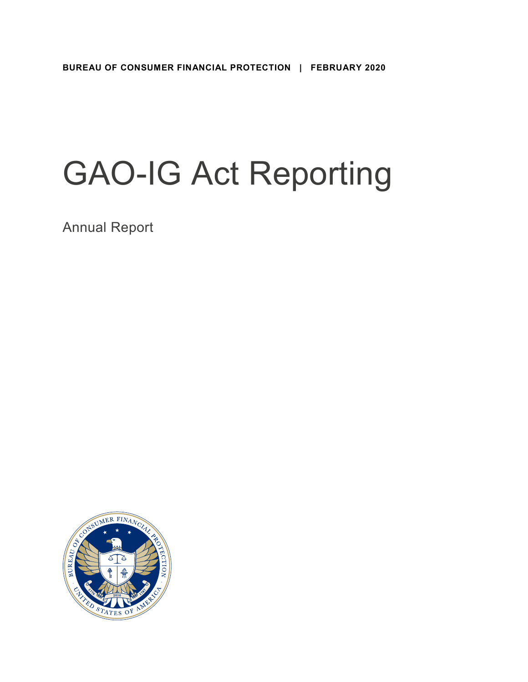# GAO-IG Act Reporting

Annual Report

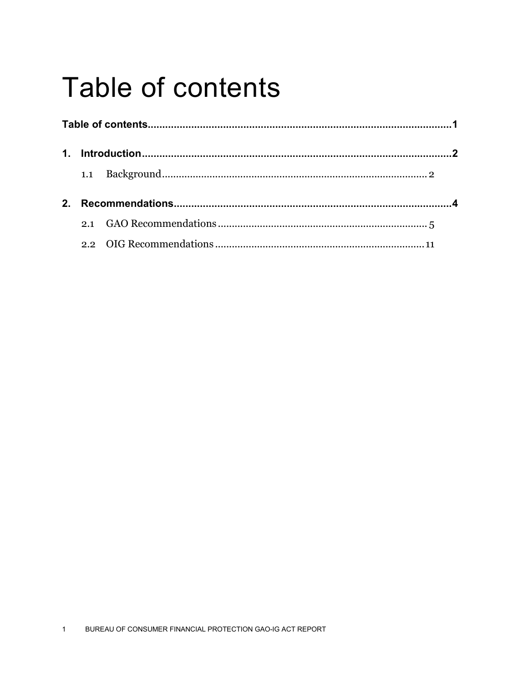## <span id="page-1-0"></span>**Table of contents**

| $\mathbf 1$ |  |  |
|-------------|--|--|
|             |  |  |
|             |  |  |
|             |  |  |
|             |  |  |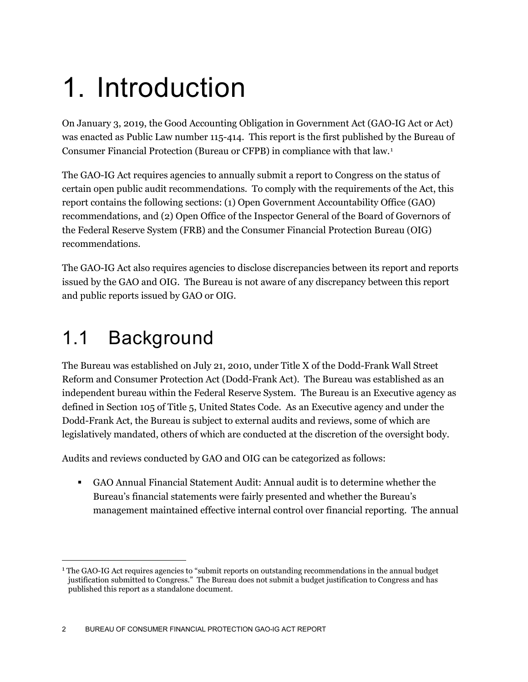## <span id="page-2-0"></span>1. Introduction

On January 3, 2019, the Good Accounting Obligation in Government Act (GAO-IG Act or Act) was enacted as Public Law number 115-414. This report is the first published by the Bureau of Consumer Financial Protection (Bureau or CFPB) in compliance with that law.[1](#page-2-2)

The GAO-IG Act requires agencies to annually submit a report to Congress on the status of certain open public audit recommendations. To comply with the requirements of the Act, this report contains the following sections: (1) Open Government Accountability Office (GAO) recommendations, and (2) Open Office of the Inspector General of the Board of Governors of the Federal Reserve System (FRB) and the Consumer Financial Protection Bureau (OIG) recommendations.

The GAO-IG Act also requires agencies to disclose discrepancies between its report and reports issued by the GAO and OIG. The Bureau is not aware of any discrepancy between this report and public reports issued by GAO or OIG.

### <span id="page-2-1"></span>1.1 Background

The Bureau was established on July 21, 2010, under Title X of the Dodd-Frank Wall Street Reform and Consumer Protection Act (Dodd-Frank Act). The Bureau was established as an independent bureau within the Federal Reserve System. The Bureau is an Executive agency as defined in Section 105 of Title 5, United States Code. As an Executive agency and under the Dodd-Frank Act, the Bureau is subject to external audits and reviews, some of which are legislatively mandated, others of which are conducted at the discretion of the oversight body.

Audits and reviews conducted by GAO and OIG can be categorized as follows:

 GAO Annual Financial Statement Audit: Annual audit is to determine whether the Bureau's financial statements were fairly presented and whether the Bureau's management maintained effective internal control over financial reporting. The annual

<span id="page-2-2"></span> <sup>1</sup> The GAO-IG Act requires agencies to "submit reports on outstanding recommendations in the annual budget justification submitted to Congress." The Bureau does not submit a budget justification to Congress and has published this report as a standalone document.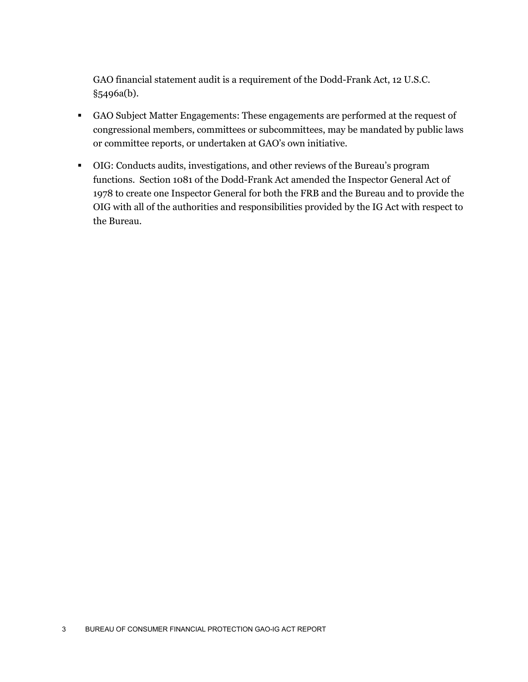GAO financial statement audit is a requirement of the Dodd-Frank Act, 12 U.S.C. §5496a(b).

- GAO Subject Matter Engagements: These engagements are performed at the request of congressional members, committees or subcommittees, may be mandated by public laws or committee reports, or undertaken at GAO's own initiative.
- OIG: Conducts audits, investigations, and other reviews of the Bureau's program functions. Section 1081 of the Dodd-Frank Act amended the Inspector General Act of 1978 to create one Inspector General for both the FRB and the Bureau and to provide the OIG with all of the authorities and responsibilities provided by the IG Act with respect to the Bureau.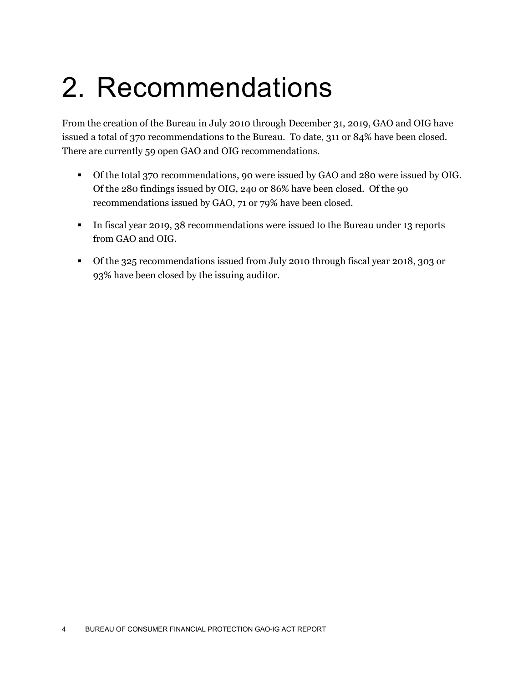## <span id="page-4-0"></span>2. Recommendations

From the creation of the Bureau in July 2010 through December 31, 2019, GAO and OIG have issued a total of 370 recommendations to the Bureau. To date, 311 or 84% have been closed. There are currently 59 open GAO and OIG recommendations.

- Of the total 370 recommendations, 90 were issued by GAO and 280 were issued by OIG. Of the 280 findings issued by OIG, 240 or 86% have been closed. Of the 90 recommendations issued by GAO, 71 or 79% have been closed.
- In fiscal year 2019, 38 recommendations were issued to the Bureau under 13 reports from GAO and OIG.
- Of the 325 recommendations issued from July 2010 through fiscal year 2018, 303 or 93% have been closed by the issuing auditor.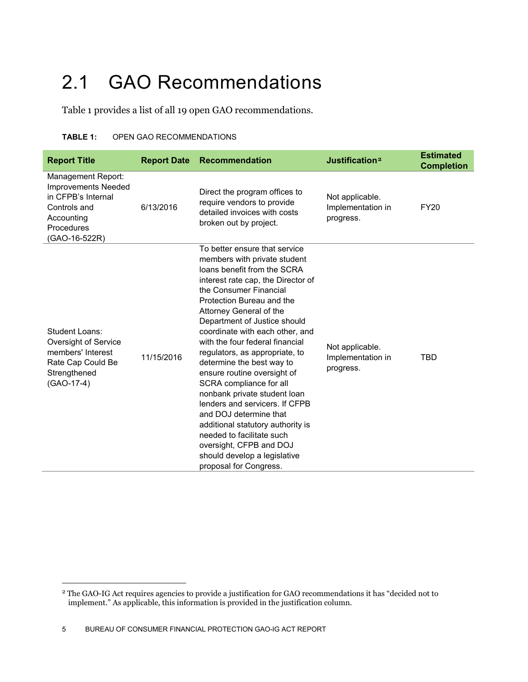### <span id="page-5-0"></span>2.1 GAO Recommendations

Table 1 provides a list of all 19 open GAO recommendations.

#### **TABLE 1:** OPEN GAO RECOMMENDATIONS

| <b>Report Title</b>                                                                                                                 | <b>Report Date</b> | <b>Recommendation</b>                                                                                                                                                                                                                                                                                                                                                                                                                                                                                                                                                                                                                                                                                  | Justification <sup>2</sup>                        | <b>Estimated</b><br><b>Completion</b> |
|-------------------------------------------------------------------------------------------------------------------------------------|--------------------|--------------------------------------------------------------------------------------------------------------------------------------------------------------------------------------------------------------------------------------------------------------------------------------------------------------------------------------------------------------------------------------------------------------------------------------------------------------------------------------------------------------------------------------------------------------------------------------------------------------------------------------------------------------------------------------------------------|---------------------------------------------------|---------------------------------------|
| Management Report:<br><b>Improvements Needed</b><br>in CFPB's Internal<br>Controls and<br>Accounting<br>Procedures<br>(GAO-16-522R) | 6/13/2016          | Direct the program offices to<br>require vendors to provide<br>detailed invoices with costs<br>broken out by project.                                                                                                                                                                                                                                                                                                                                                                                                                                                                                                                                                                                  | Not applicable.<br>Implementation in<br>progress. | <b>FY20</b>                           |
| Student Loans:<br>Oversight of Service<br>members' Interest<br>Rate Cap Could Be<br>Strengthened<br>(GAO-17-4)                      | 11/15/2016         | To better ensure that service<br>members with private student<br>loans benefit from the SCRA<br>interest rate cap, the Director of<br>the Consumer Financial<br>Protection Bureau and the<br>Attorney General of the<br>Department of Justice should<br>coordinate with each other, and<br>with the four federal financial<br>regulators, as appropriate, to<br>determine the best way to<br>ensure routine oversight of<br>SCRA compliance for all<br>nonbank private student loan<br>lenders and servicers. If CFPB<br>and DOJ determine that<br>additional statutory authority is<br>needed to facilitate such<br>oversight, CFPB and DOJ<br>should develop a legislative<br>proposal for Congress. | Not applicable.<br>Implementation in<br>progress. | TBD                                   |

<span id="page-5-1"></span> <sup>2</sup> The GAO-IG Act requires agencies to provide a justification for GAO recommendations it has "decided not to implement." As applicable, this information is provided in the justification column.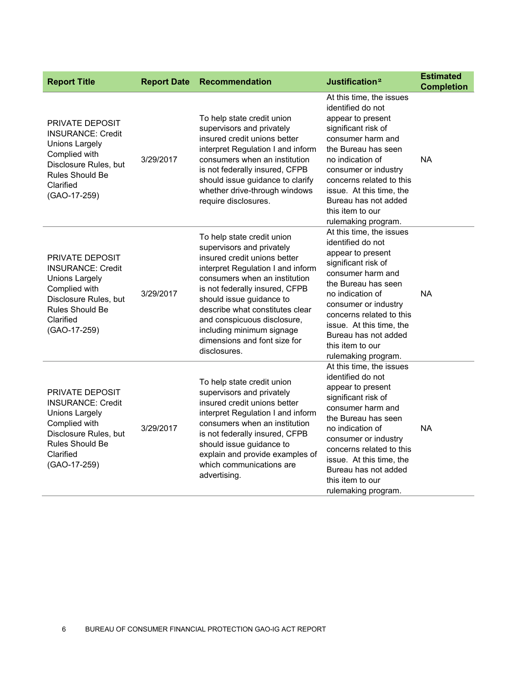| <b>Report Title</b>                                                                                                                                            | <b>Report Date</b> | Recommendation                                                                                                                                                                                                                                                                                                                                                             | Justification <sup>2</sup>                                                                                                                                                                                                                                                                                   | <b>Estimated</b><br><b>Completion</b> |
|----------------------------------------------------------------------------------------------------------------------------------------------------------------|--------------------|----------------------------------------------------------------------------------------------------------------------------------------------------------------------------------------------------------------------------------------------------------------------------------------------------------------------------------------------------------------------------|--------------------------------------------------------------------------------------------------------------------------------------------------------------------------------------------------------------------------------------------------------------------------------------------------------------|---------------------------------------|
| <b>PRIVATE DEPOSIT</b><br><b>INSURANCE: Credit</b><br>Unions Largely<br>Complied with<br>Disclosure Rules, but<br>Rules Should Be<br>Clarified<br>(GAO-17-259) | 3/29/2017          | To help state credit union<br>supervisors and privately<br>insured credit unions better<br>interpret Regulation I and inform<br>consumers when an institution<br>is not federally insured, CFPB<br>should issue guidance to clarify<br>whether drive-through windows<br>require disclosures.                                                                               | At this time, the issues<br>identified do not<br>appear to present<br>significant risk of<br>consumer harm and<br>the Bureau has seen<br>no indication of<br>consumer or industry<br>concerns related to this<br>issue. At this time, the<br>Bureau has not added<br>this item to our<br>rulemaking program. | <b>NA</b>                             |
| PRIVATE DEPOSIT<br><b>INSURANCE: Credit</b><br><b>Unions Largely</b><br>Complied with<br>Disclosure Rules, but<br>Rules Should Be<br>Clarified<br>(GAO-17-259) | 3/29/2017          | To help state credit union<br>supervisors and privately<br>insured credit unions better<br>interpret Regulation I and inform<br>consumers when an institution<br>is not federally insured, CFPB<br>should issue guidance to<br>describe what constitutes clear<br>and conspicuous disclosure,<br>including minimum signage<br>dimensions and font size for<br>disclosures. | At this time, the issues<br>identified do not<br>appear to present<br>significant risk of<br>consumer harm and<br>the Bureau has seen<br>no indication of<br>consumer or industry<br>concerns related to this<br>issue. At this time, the<br>Bureau has not added<br>this item to our<br>rulemaking program. | <b>NA</b>                             |
| PRIVATE DEPOSIT<br><b>INSURANCE: Credit</b><br><b>Unions Largely</b><br>Complied with<br>Disclosure Rules, but<br>Rules Should Be<br>Clarified<br>(GAO-17-259) | 3/29/2017          | To help state credit union<br>supervisors and privately<br>insured credit unions better<br>interpret Regulation I and inform<br>consumers when an institution<br>is not federally insured, CFPB<br>should issue guidance to<br>explain and provide examples of<br>which communications are<br>advertising.                                                                 | At this time, the issues<br>identified do not<br>appear to present<br>significant risk of<br>consumer harm and<br>the Bureau has seen<br>no indication of<br>consumer or industry<br>concerns related to this<br>issue. At this time, the<br>Bureau has not added<br>this item to our<br>rulemaking program. | <b>NA</b>                             |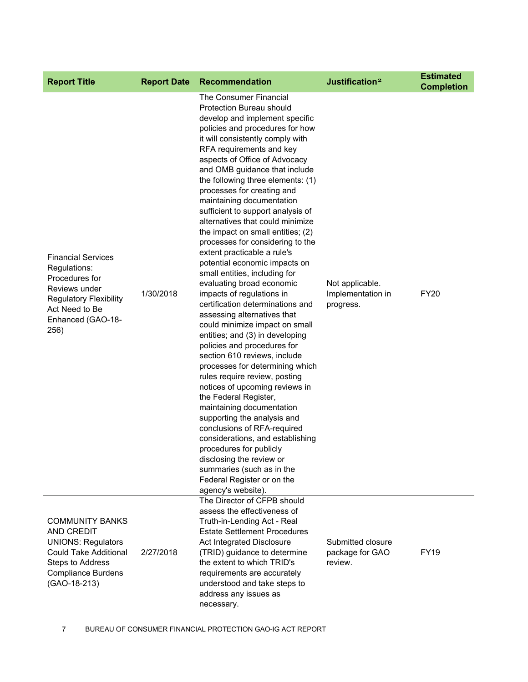| <b>Report Title</b>                                                                                                                                          | <b>Report Date</b> | Recommendation                                                                                                                                                                                                                                                                                                                                                                                                                                                                                                                                                                                                                                                                                                                                                                                                                                                                                                                                                                                                                                                                                                                                                                                                                                                                             | Justification <sup>2</sup>                        | <b>Estimated</b><br><b>Completion</b> |
|--------------------------------------------------------------------------------------------------------------------------------------------------------------|--------------------|--------------------------------------------------------------------------------------------------------------------------------------------------------------------------------------------------------------------------------------------------------------------------------------------------------------------------------------------------------------------------------------------------------------------------------------------------------------------------------------------------------------------------------------------------------------------------------------------------------------------------------------------------------------------------------------------------------------------------------------------------------------------------------------------------------------------------------------------------------------------------------------------------------------------------------------------------------------------------------------------------------------------------------------------------------------------------------------------------------------------------------------------------------------------------------------------------------------------------------------------------------------------------------------------|---------------------------------------------------|---------------------------------------|
| <b>Financial Services</b><br>Regulations:<br>Procedures for<br>Reviews under<br><b>Regulatory Flexibility</b><br>Act Need to Be<br>Enhanced (GAO-18-<br>256) | 1/30/2018          | The Consumer Financial<br><b>Protection Bureau should</b><br>develop and implement specific<br>policies and procedures for how<br>it will consistently comply with<br>RFA requirements and key<br>aspects of Office of Advocacy<br>and OMB guidance that include<br>the following three elements: (1)<br>processes for creating and<br>maintaining documentation<br>sufficient to support analysis of<br>alternatives that could minimize<br>the impact on small entities; (2)<br>processes for considering to the<br>extent practicable a rule's<br>potential economic impacts on<br>small entities, including for<br>evaluating broad economic<br>impacts of regulations in<br>certification determinations and<br>assessing alternatives that<br>could minimize impact on small<br>entities; and (3) in developing<br>policies and procedures for<br>section 610 reviews, include<br>processes for determining which<br>rules require review, posting<br>notices of upcoming reviews in<br>the Federal Register,<br>maintaining documentation<br>supporting the analysis and<br>conclusions of RFA-required<br>considerations, and establishing<br>procedures for publicly<br>disclosing the review or<br>summaries (such as in the<br>Federal Register or on the<br>agency's website). | Not applicable.<br>Implementation in<br>progress. | <b>FY20</b>                           |
| <b>COMMUNITY BANKS</b><br>AND CREDIT<br><b>UNIONS: Regulators</b><br>Could Take Additional<br>Steps to Address<br><b>Compliance Burdens</b><br>(GAO-18-213)  | 2/27/2018          | The Director of CFPB should<br>assess the effectiveness of<br>Truth-in-Lending Act - Real<br><b>Estate Settlement Procedures</b><br>Act Integrated Disclosure<br>(TRID) guidance to determine<br>the extent to which TRID's<br>requirements are accurately<br>understood and take steps to<br>address any issues as<br>necessary.                                                                                                                                                                                                                                                                                                                                                                                                                                                                                                                                                                                                                                                                                                                                                                                                                                                                                                                                                          | Submitted closure<br>package for GAO<br>review.   | <b>FY19</b>                           |

7 BUREAU OF CONSUMER FINANCIAL PROTECTION GAO-IG ACT REPORT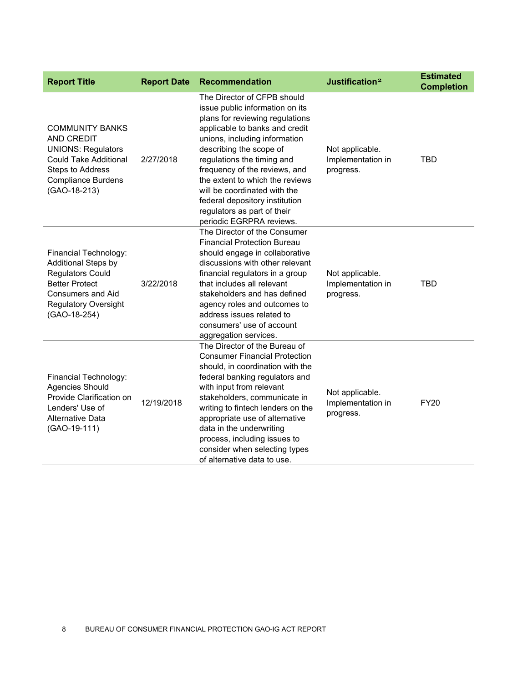| <b>Report Title</b>                                                                                                                                                         | <b>Report Date</b> | <b>Recommendation</b>                                                                                                                                                                                                                                                                                                                                                                                                          | Justification <sup>2</sup>                        | <b>Estimated</b><br><b>Completion</b> |
|-----------------------------------------------------------------------------------------------------------------------------------------------------------------------------|--------------------|--------------------------------------------------------------------------------------------------------------------------------------------------------------------------------------------------------------------------------------------------------------------------------------------------------------------------------------------------------------------------------------------------------------------------------|---------------------------------------------------|---------------------------------------|
| <b>COMMUNITY BANKS</b><br><b>AND CREDIT</b><br><b>UNIONS: Regulators</b><br><b>Could Take Additional</b><br>Steps to Address<br><b>Compliance Burdens</b><br>(GAO-18-213)   | 2/27/2018          | The Director of CFPB should<br>issue public information on its<br>plans for reviewing regulations<br>applicable to banks and credit<br>unions, including information<br>describing the scope of<br>regulations the timing and<br>frequency of the reviews, and<br>the extent to which the reviews<br>will be coordinated with the<br>federal depository institution<br>regulators as part of their<br>periodic EGRPRA reviews. | Not applicable.<br>Implementation in<br>progress. | <b>TBD</b>                            |
| Financial Technology:<br>Additional Steps by<br><b>Regulators Could</b><br><b>Better Protect</b><br><b>Consumers and Aid</b><br><b>Regulatory Oversight</b><br>(GAO-18-254) | 3/22/2018          | The Director of the Consumer<br><b>Financial Protection Bureau</b><br>should engage in collaborative<br>discussions with other relevant<br>financial regulators in a group<br>that includes all relevant<br>stakeholders and has defined<br>agency roles and outcomes to<br>address issues related to<br>consumers' use of account<br>aggregation services.                                                                    | Not applicable.<br>Implementation in<br>progress. | <b>TBD</b>                            |
| Financial Technology:<br><b>Agencies Should</b><br>Provide Clarification on<br>Lenders' Use of<br>Alternative Data<br>(GAO-19-111)                                          | 12/19/2018         | The Director of the Bureau of<br><b>Consumer Financial Protection</b><br>should, in coordination with the<br>federal banking regulators and<br>with input from relevant<br>stakeholders, communicate in<br>writing to fintech lenders on the<br>appropriate use of alternative<br>data in the underwriting<br>process, including issues to<br>consider when selecting types<br>of alternative data to use.                     | Not applicable.<br>Implementation in<br>progress. | <b>FY20</b>                           |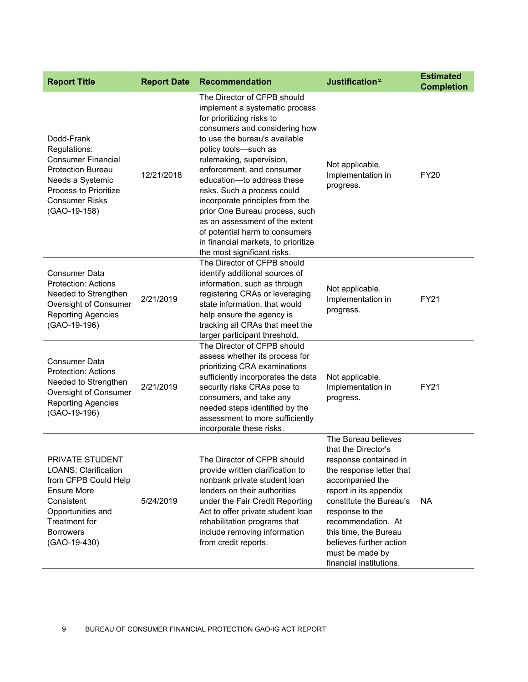| <b>Report Title</b>                                                                                                                                                                         | <b>Report Date</b> | <b>Recommendation</b>                                                                                                                                                                                                                                                                                                                                                                                                                                                                                                     | Justification <sup>2</sup>                                                                                                                                                                                                                                                                                         | <b>Estimated</b><br><b>Completion</b> |
|---------------------------------------------------------------------------------------------------------------------------------------------------------------------------------------------|--------------------|---------------------------------------------------------------------------------------------------------------------------------------------------------------------------------------------------------------------------------------------------------------------------------------------------------------------------------------------------------------------------------------------------------------------------------------------------------------------------------------------------------------------------|--------------------------------------------------------------------------------------------------------------------------------------------------------------------------------------------------------------------------------------------------------------------------------------------------------------------|---------------------------------------|
| Dodd-Frank<br>Regulations:<br><b>Consumer Financial</b><br><b>Protection Bureau</b><br>Needs a Systemic<br>Process to Prioritize<br><b>Consumer Risks</b><br>(GAO-19-158)                   | 12/21/2018         | The Director of CFPB should<br>implement a systematic process<br>for prioritizing risks to<br>consumers and considering how<br>to use the bureau's available<br>policy tools-such as<br>rulemaking, supervision,<br>enforcement, and consumer<br>education-to address these<br>risks. Such a process could<br>incorporate principles from the<br>prior One Bureau process, such<br>as an assessment of the extent<br>of potential harm to consumers<br>in financial markets, to prioritize<br>the most significant risks. | Not applicable.<br>Implementation in<br>progress.                                                                                                                                                                                                                                                                  | <b>FY20</b>                           |
| <b>Consumer Data</b><br><b>Protection: Actions</b><br>Needed to Strengthen<br>Oversight of Consumer<br><b>Reporting Agencies</b><br>(GAO-19-196)                                            | 2/21/2019          | The Director of CFPB should<br>identify additional sources of<br>information, such as through<br>registering CRAs or leveraging<br>state information, that would<br>help ensure the agency is<br>tracking all CRAs that meet the<br>larger participant threshold.                                                                                                                                                                                                                                                         | Not applicable.<br>Implementation in<br>progress.                                                                                                                                                                                                                                                                  | FY21                                  |
| <b>Consumer Data</b><br><b>Protection: Actions</b><br>Needed to Strengthen<br>Oversight of Consumer<br><b>Reporting Agencies</b><br>(GAO-19-196)                                            | 2/21/2019          | The Director of CFPB should<br>assess whether its process for<br>prioritizing CRA examinations<br>sufficiently incorporates the data<br>security risks CRAs pose to<br>consumers, and take any<br>needed steps identified by the<br>assessment to more sufficiently<br>incorporate these risks.                                                                                                                                                                                                                           | Not applicable.<br>Implementation in<br>progress.                                                                                                                                                                                                                                                                  | <b>FY21</b>                           |
| PRIVATE STUDENT<br><b>LOANS: Clarification</b><br>from CFPB Could Help<br><b>Ensure More</b><br>Consistent<br>Opportunities and<br><b>Treatment for</b><br><b>Borrowers</b><br>(GAO-19-430) | 5/24/2019          | The Director of CFPB should<br>provide written clarification to<br>nonbank private student loan<br>lenders on their authorities<br>under the Fair Credit Reporting<br>Act to offer private student loan<br>rehabilitation programs that<br>include removing information<br>from credit reports.                                                                                                                                                                                                                           | The Bureau believes<br>that the Director's<br>response contained in<br>the response letter that<br>accompanied the<br>report in its appendix<br>constitute the Bureau's<br>response to the<br>recommendation. At<br>this time, the Bureau<br>believes further action<br>must be made by<br>financial institutions. | <b>NA</b>                             |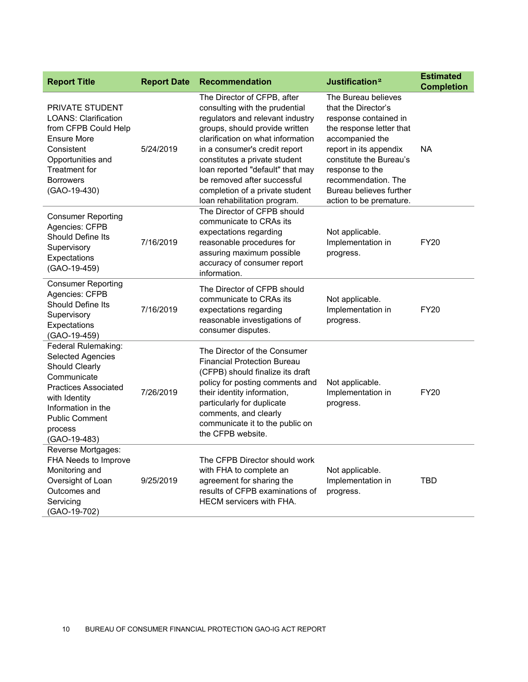| <b>Report Title</b>                                                                                                                                                                                               | <b>Report Date</b> | <b>Recommendation</b>                                                                                                                                                                                                                                                                                                                                                            | Justification <sup>2</sup>                                                                                                                                                                                                                                              | <b>Estimated</b><br><b>Completion</b> |
|-------------------------------------------------------------------------------------------------------------------------------------------------------------------------------------------------------------------|--------------------|----------------------------------------------------------------------------------------------------------------------------------------------------------------------------------------------------------------------------------------------------------------------------------------------------------------------------------------------------------------------------------|-------------------------------------------------------------------------------------------------------------------------------------------------------------------------------------------------------------------------------------------------------------------------|---------------------------------------|
| <b>PRIVATE STUDENT</b><br><b>LOANS: Clarification</b><br>from CFPB Could Help<br><b>Ensure More</b><br>Consistent<br>Opportunities and<br><b>Treatment for</b><br><b>Borrowers</b><br>(GAO-19-430)                | 5/24/2019          | The Director of CFPB, after<br>consulting with the prudential<br>regulators and relevant industry<br>groups, should provide written<br>clarification on what information<br>in a consumer's credit report<br>constitutes a private student<br>loan reported "default" that may<br>be removed after successful<br>completion of a private student<br>loan rehabilitation program. | The Bureau believes<br>that the Director's<br>response contained in<br>the response letter that<br>accompanied the<br>report in its appendix<br>constitute the Bureau's<br>response to the<br>recommendation. The<br>Bureau believes further<br>action to be premature. | <b>NA</b>                             |
| <b>Consumer Reporting</b><br>Agencies: CFPB<br><b>Should Define Its</b><br>Supervisory<br>Expectations<br>(GAO-19-459)                                                                                            | 7/16/2019          | The Director of CFPB should<br>communicate to CRAs its<br>expectations regarding<br>reasonable procedures for<br>assuring maximum possible<br>accuracy of consumer report<br>information.                                                                                                                                                                                        | Not applicable.<br>Implementation in<br>progress.                                                                                                                                                                                                                       | <b>FY20</b>                           |
| <b>Consumer Reporting</b><br>Agencies: CFPB<br>Should Define Its<br>Supervisory<br>Expectations<br>(GAO-19-459)                                                                                                   | 7/16/2019          | The Director of CFPB should<br>communicate to CRAs its<br>expectations regarding<br>reasonable investigations of<br>consumer disputes.                                                                                                                                                                                                                                           | Not applicable.<br>Implementation in<br>progress.                                                                                                                                                                                                                       | <b>FY20</b>                           |
| Federal Rulemaking:<br><b>Selected Agencies</b><br><b>Should Clearly</b><br>Communicate<br><b>Practices Associated</b><br>with Identity<br>Information in the<br><b>Public Comment</b><br>process<br>(GAO-19-483) | 7/26/2019          | The Director of the Consumer<br><b>Financial Protection Bureau</b><br>(CFPB) should finalize its draft<br>policy for posting comments and<br>their identity information,<br>particularly for duplicate<br>comments, and clearly<br>communicate it to the public on<br>the CFPB website.                                                                                          | Not applicable.<br>Implementation in<br>progress.                                                                                                                                                                                                                       | <b>FY20</b>                           |
| Reverse Mortgages:<br>FHA Needs to Improve<br>Monitoring and<br>Oversight of Loan<br>Outcomes and<br>Servicing<br>(GAO-19-702)                                                                                    | 9/25/2019          | The CFPB Director should work<br>with FHA to complete an<br>agreement for sharing the<br>results of CFPB examinations of<br><b>HECM</b> servicers with FHA.                                                                                                                                                                                                                      | Not applicable.<br>Implementation in<br>progress.                                                                                                                                                                                                                       | <b>TBD</b>                            |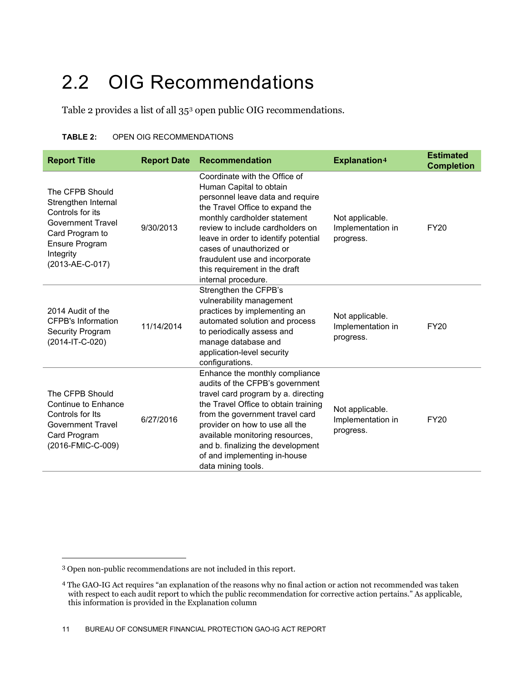#### <span id="page-11-0"></span>2.2 OIG Recommendations

Table 2 provides a list of all 35[3](#page-11-1) open public OIG recommendations.

| <b>Report Title</b>                                                                                                                                  | <b>Report Date</b> | <b>Recommendation</b>                                                                                                                                                                                                                                                                                                                                             | Explanation <sup>4</sup>                          | <b>Estimated</b><br><b>Completion</b> |
|------------------------------------------------------------------------------------------------------------------------------------------------------|--------------------|-------------------------------------------------------------------------------------------------------------------------------------------------------------------------------------------------------------------------------------------------------------------------------------------------------------------------------------------------------------------|---------------------------------------------------|---------------------------------------|
| The CFPB Should<br>Strengthen Internal<br>Controls for its<br>Government Travel<br>Card Program to<br>Ensure Program<br>Integrity<br>(2013-AE-C-017) | 9/30/2013          | Coordinate with the Office of<br>Human Capital to obtain<br>personnel leave data and require<br>the Travel Office to expand the<br>monthly cardholder statement<br>review to include cardholders on<br>leave in order to identify potential<br>cases of unauthorized or<br>fraudulent use and incorporate<br>this requirement in the draft<br>internal procedure. | Not applicable.<br>Implementation in<br>progress. | <b>FY20</b>                           |
| 2014 Audit of the<br><b>CFPB's Information</b><br>Security Program<br>(2014-IT-C-020)                                                                | 11/14/2014         | Strengthen the CFPB's<br>vulnerability management<br>practices by implementing an<br>automated solution and process<br>to periodically assess and<br>manage database and<br>application-level security<br>configurations.                                                                                                                                         | Not applicable.<br>Implementation in<br>progress. | <b>FY20</b>                           |
| The CFPB Should<br>Continue to Enhance<br>Controls for Its<br><b>Government Travel</b><br>Card Program<br>(2016-FMIC-C-009)                          | 6/27/2016          | Enhance the monthly compliance<br>audits of the CFPB's government<br>travel card program by a. directing<br>the Travel Office to obtain training<br>from the government travel card<br>provider on how to use all the<br>available monitoring resources,<br>and b. finalizing the development<br>of and implementing in-house<br>data mining tools.               | Not applicable.<br>Implementation in<br>progress. | <b>FY20</b>                           |

<span id="page-11-1"></span> <sup>3</sup> Open non-public recommendations are not included in this report.

<span id="page-11-2"></span><sup>4</sup> The GAO-IG Act requires "an explanation of the reasons why no final action or action not recommended was taken with respect to each audit report to which the public recommendation for corrective action pertains." As applicable, this information is provided in the Explanation column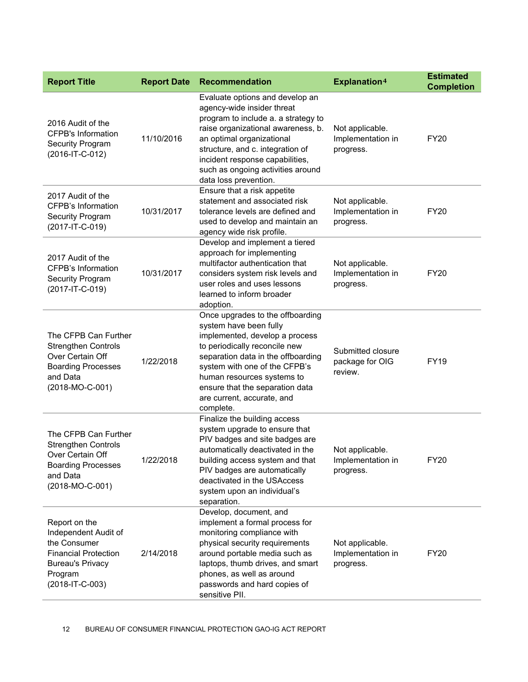| <b>Report Title</b>                                                                                                                           | <b>Report Date</b> | Recommendation                                                                                                                                                                                                                                                                                                   | <b>Explanation4</b>                               | <b>Estimated</b><br><b>Completion</b> |
|-----------------------------------------------------------------------------------------------------------------------------------------------|--------------------|------------------------------------------------------------------------------------------------------------------------------------------------------------------------------------------------------------------------------------------------------------------------------------------------------------------|---------------------------------------------------|---------------------------------------|
| 2016 Audit of the<br><b>CFPB's Information</b><br><b>Security Program</b><br>(2016-IT-C-012)                                                  | 11/10/2016         | Evaluate options and develop an<br>agency-wide insider threat<br>program to include a. a strategy to<br>raise organizational awareness, b.<br>an optimal organizational<br>structure, and c. integration of<br>incident response capabilities,<br>such as ongoing activities around<br>data loss prevention.     | Not applicable.<br>Implementation in<br>progress. | <b>FY20</b>                           |
| 2017 Audit of the<br><b>CFPB's Information</b><br><b>Security Program</b><br>(2017-IT-C-019)                                                  | 10/31/2017         | Ensure that a risk appetite<br>statement and associated risk<br>tolerance levels are defined and<br>used to develop and maintain an<br>agency wide risk profile.                                                                                                                                                 | Not applicable.<br>Implementation in<br>progress. | <b>FY20</b>                           |
| 2017 Audit of the<br><b>CFPB's Information</b><br><b>Security Program</b><br>(2017-IT-C-019)                                                  | 10/31/2017         | Develop and implement a tiered<br>approach for implementing<br>multifactor authentication that<br>considers system risk levels and<br>user roles and uses lessons<br>learned to inform broader<br>adoption.                                                                                                      | Not applicable.<br>Implementation in<br>progress. | <b>FY20</b>                           |
| The CFPB Can Further<br><b>Strengthen Controls</b><br>Over Certain Off<br><b>Boarding Processes</b><br>and Data<br>(2018-MO-C-001)            | 1/22/2018          | Once upgrades to the offboarding<br>system have been fully<br>implemented, develop a process<br>to periodically reconcile new<br>separation data in the offboarding<br>system with one of the CFPB's<br>human resources systems to<br>ensure that the separation data<br>are current, accurate, and<br>complete. | Submitted closure<br>package for OIG<br>review.   | <b>FY19</b>                           |
| The CFPB Can Further<br><b>Strengthen Controls</b><br>Over Certain Off<br><b>Boarding Processes</b><br>and Data<br>(2018-MO-C-001)            | 1/22/2018          | Finalize the building access<br>system upgrade to ensure that<br>PIV badges and site badges are<br>automatically deactivated in the<br>building access system and that<br>PIV badges are automatically<br>deactivated in the USAccess<br>system upon an individual's<br>separation.                              | Not applicable.<br>Implementation in<br>progress. | <b>FY20</b>                           |
| Report on the<br>Independent Audit of<br>the Consumer<br><b>Financial Protection</b><br><b>Bureau's Privacy</b><br>Program<br>(2018-IT-C-003) | 2/14/2018          | Develop, document, and<br>implement a formal process for<br>monitoring compliance with<br>physical security requirements<br>around portable media such as<br>laptops, thumb drives, and smart<br>phones, as well as around<br>passwords and hard copies of<br>sensitive PII.                                     | Not applicable.<br>Implementation in<br>progress. | <b>FY20</b>                           |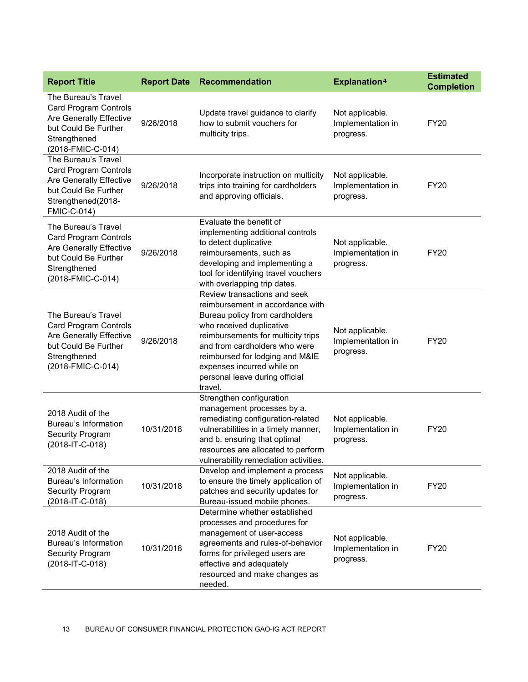| <b>Report Title</b>                                                                                                                                | <b>Report Date</b> | <b>Recommendation</b>                                                                                                                                                                                                                                                                                               | Explanation <sup>4</sup>                          | <b>Estimated</b><br><b>Completion</b> |
|----------------------------------------------------------------------------------------------------------------------------------------------------|--------------------|---------------------------------------------------------------------------------------------------------------------------------------------------------------------------------------------------------------------------------------------------------------------------------------------------------------------|---------------------------------------------------|---------------------------------------|
| The Bureau's Travel<br><b>Card Program Controls</b><br>Are Generally Effective<br>but Could Be Further<br>Strengthened<br>(2018-FMIC-C-014)        | 9/26/2018          | Update travel guidance to clarify<br>how to submit vouchers for<br>multicity trips.                                                                                                                                                                                                                                 | Not applicable.<br>Implementation in<br>progress. | <b>FY20</b>                           |
| The Bureau's Travel<br><b>Card Program Controls</b><br>Are Generally Effective<br>but Could Be Further<br>Strengthened(2018-<br><b>FMIC-C-014)</b> | 9/26/2018          | Incorporate instruction on multicity<br>trips into training for cardholders<br>and approving officials.                                                                                                                                                                                                             | Not applicable.<br>Implementation in<br>progress. | <b>FY20</b>                           |
| The Bureau's Travel<br><b>Card Program Controls</b><br>Are Generally Effective<br>but Could Be Further<br>Strengthened<br>(2018-FMIC-C-014)        | 9/26/2018          | Evaluate the benefit of<br>implementing additional controls<br>to detect duplicative<br>reimbursements, such as<br>developing and implementing a<br>tool for identifying travel vouchers<br>with overlapping trip dates.                                                                                            | Not applicable.<br>Implementation in<br>progress. | <b>FY20</b>                           |
| The Bureau's Travel<br><b>Card Program Controls</b><br>Are Generally Effective<br>but Could Be Further<br>Strengthened<br>(2018-FMIC-C-014)        | 9/26/2018          | Review transactions and seek<br>reimbursement in accordance with<br>Bureau policy from cardholders<br>who received duplicative<br>reimbursements for multicity trips<br>and from cardholders who were<br>reimbursed for lodging and M&IE<br>expenses incurred while on<br>personal leave during official<br>travel. | Not applicable.<br>Implementation in<br>progress. | <b>FY20</b>                           |
| 2018 Audit of the<br>Bureau's Information<br>Security Program<br>(2018-IT-C-018)                                                                   | 10/31/2018         | Strengthen configuration<br>management processes by a.<br>remediating configuration-related<br>vulnerabilities in a timely manner,<br>and b. ensuring that optimal<br>resources are allocated to perform<br>vulnerability remediation activities.                                                                   | Not applicable.<br>Implementation in<br>progress. | <b>FY20</b>                           |
| 2018 Audit of the<br><b>Bureau's Information</b><br>Security Program<br>(2018-IT-C-018)                                                            | 10/31/2018         | Develop and implement a process<br>to ensure the timely application of<br>patches and security updates for<br>Bureau-issued mobile phones.                                                                                                                                                                          | Not applicable.<br>Implementation in<br>progress. | <b>FY20</b>                           |
| 2018 Audit of the<br>Bureau's Information<br>Security Program<br>(2018-IT-C-018)                                                                   | 10/31/2018         | Determine whether established<br>processes and procedures for<br>management of user-access<br>agreements and rules-of-behavior<br>forms for privileged users are<br>effective and adequately<br>resourced and make changes as<br>needed.                                                                            | Not applicable.<br>Implementation in<br>progress. | <b>FY20</b>                           |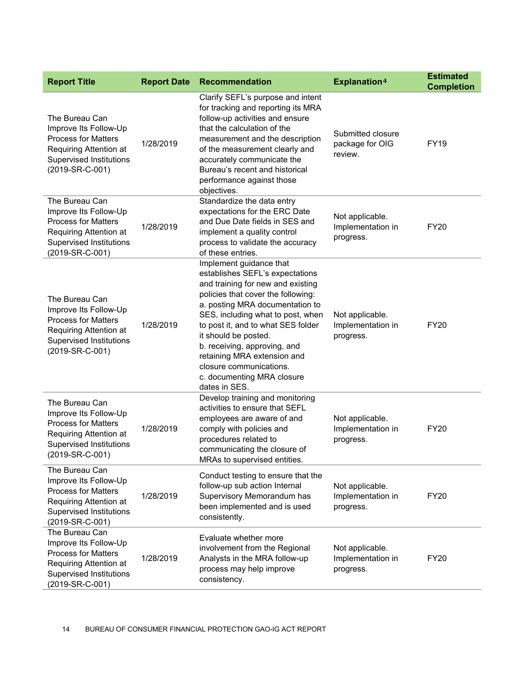| <b>Report Title</b>                                                                                                                                  | <b>Report Date</b> | <b>Recommendation</b>                                                                                                                                                                                                                                                                                                                                                                                                | <b>Explanation4</b>                               | <b>Estimated</b><br><b>Completion</b> |
|------------------------------------------------------------------------------------------------------------------------------------------------------|--------------------|----------------------------------------------------------------------------------------------------------------------------------------------------------------------------------------------------------------------------------------------------------------------------------------------------------------------------------------------------------------------------------------------------------------------|---------------------------------------------------|---------------------------------------|
| The Bureau Can<br>Improve Its Follow-Up<br><b>Process for Matters</b><br>Requiring Attention at<br>Supervised Institutions<br>(2019-SR-C-001)        | 1/28/2019          | Clarify SEFL's purpose and intent<br>for tracking and reporting its MRA<br>follow-up activities and ensure<br>that the calculation of the<br>measurement and the description<br>of the measurement clearly and<br>accurately communicate the<br>Bureau's recent and historical<br>performance against those<br>objectives.                                                                                           | Submitted closure<br>package for OIG<br>review.   | FY19                                  |
| The Bureau Can<br>Improve Its Follow-Up<br><b>Process for Matters</b><br>Requiring Attention at<br><b>Supervised Institutions</b><br>(2019-SR-C-001) | 1/28/2019          | Standardize the data entry<br>expectations for the ERC Date<br>and Due Date fields in SES and<br>implement a quality control<br>process to validate the accuracy<br>of these entries.                                                                                                                                                                                                                                | Not applicable.<br>Implementation in<br>progress. | <b>FY20</b>                           |
| The Bureau Can<br>Improve Its Follow-Up<br><b>Process for Matters</b><br>Requiring Attention at<br><b>Supervised Institutions</b><br>(2019-SR-C-001) | 1/28/2019          | Implement guidance that<br>establishes SEFL's expectations<br>and training for new and existing<br>policies that cover the following:<br>a. posting MRA documentation to<br>SES, including what to post, when<br>to post it, and to what SES folder<br>it should be posted.<br>b. receiving, approving, and<br>retaining MRA extension and<br>closure communications.<br>c. documenting MRA closure<br>dates in SES. | Not applicable.<br>Implementation in<br>progress. | <b>FY20</b>                           |
| The Bureau Can<br>Improve Its Follow-Up<br><b>Process for Matters</b><br>Requiring Attention at<br><b>Supervised Institutions</b><br>(2019-SR-C-001) | 1/28/2019          | Develop training and monitoring<br>activities to ensure that SEFL<br>employees are aware of and<br>comply with policies and<br>procedures related to<br>communicating the closure of<br>MRAs to supervised entities.                                                                                                                                                                                                 | Not applicable.<br>Implementation in<br>progress. | <b>FY20</b>                           |
| The Bureau Can<br>Improve Its Follow-Up<br><b>Process for Matters</b><br>Requiring Attention at<br><b>Supervised Institutions</b><br>(2019-SR-C-001) | 1/28/2019          | Conduct testing to ensure that the<br>follow-up sub action Internal<br>Supervisory Memorandum has<br>been implemented and is used<br>consistently.                                                                                                                                                                                                                                                                   | Not applicable.<br>Implementation in<br>progress. | <b>FY20</b>                           |
| The Bureau Can<br>Improve Its Follow-Up<br><b>Process for Matters</b><br>Requiring Attention at<br><b>Supervised Institutions</b><br>(2019-SR-C-001) | 1/28/2019          | Evaluate whether more<br>involvement from the Regional<br>Analysts in the MRA follow-up<br>process may help improve<br>consistency.                                                                                                                                                                                                                                                                                  | Not applicable.<br>Implementation in<br>progress. | <b>FY20</b>                           |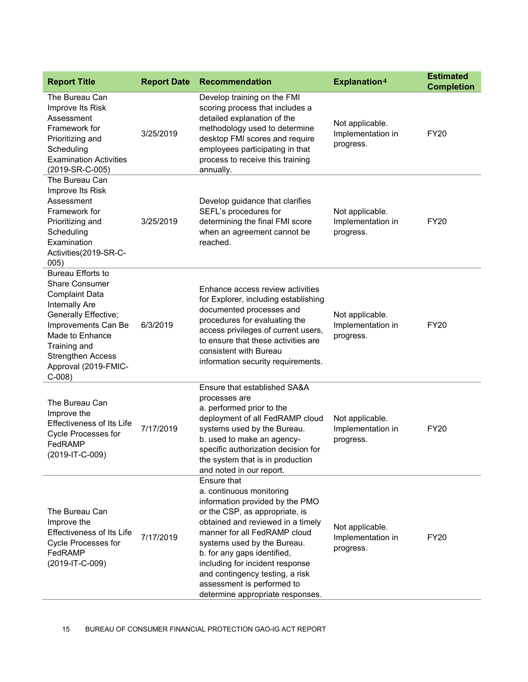| <b>Report Title</b>                                                                                                                                                                                                                                                                                            | <b>Report Date</b> | <b>Recommendation</b>                                                                                                                                                                                                                                                                                                                                                                   | Explanation <sup>4</sup>                          | <b>Estimated</b><br><b>Completion</b> |
|----------------------------------------------------------------------------------------------------------------------------------------------------------------------------------------------------------------------------------------------------------------------------------------------------------------|--------------------|-----------------------------------------------------------------------------------------------------------------------------------------------------------------------------------------------------------------------------------------------------------------------------------------------------------------------------------------------------------------------------------------|---------------------------------------------------|---------------------------------------|
| The Bureau Can<br>Improve Its Risk<br>Assessment<br>Framework for<br>Prioritizing and<br>Scheduling<br><b>Examination Activities</b><br>(2019-SR-C-005)<br>The Bureau Can<br>Improve Its Risk<br>Assessment<br>Framework for<br>Prioritizing and<br>Scheduling<br>Examination<br>Activities(2019-SR-C-<br>005) | 3/25/2019          | Develop training on the FMI<br>scoring process that includes a<br>detailed explanation of the<br>methodology used to determine<br>desktop FMI scores and require<br>employees participating in that<br>process to receive this training<br>annually.                                                                                                                                    | Not applicable.<br>Implementation in<br>progress. | <b>FY20</b>                           |
|                                                                                                                                                                                                                                                                                                                | 3/25/2019          | Develop guidance that clarifies<br>SEFL's procedures for<br>determining the final FMI score<br>when an agreement cannot be<br>reached.                                                                                                                                                                                                                                                  | Not applicable.<br>Implementation in<br>progress. | <b>FY20</b>                           |
| <b>Bureau Efforts to</b><br><b>Share Consumer</b><br><b>Complaint Data</b><br>Internally Are<br>Generally Effective;<br>Improvements Can Be<br>Made to Enhance<br>Training and<br><b>Strengthen Access</b><br>Approval (2019-FMIC-<br>$C-008$                                                                  | 6/3/2019           | Enhance access review activities<br>for Explorer, including establishing<br>documented processes and<br>procedures for evaluating the<br>access privileges of current users,<br>to ensure that these activities are<br>consistent with Bureau<br>information security requirements.                                                                                                     | Not applicable.<br>Implementation in<br>progress. | <b>FY20</b>                           |
| The Bureau Can<br>Improve the<br><b>Effectiveness of Its Life</b><br><b>Cycle Processes for</b><br>FedRAMP<br>(2019-IT-C-009)                                                                                                                                                                                  | 7/17/2019          | Ensure that established SA&A<br>processes are<br>a. performed prior to the<br>deployment of all FedRAMP cloud<br>systems used by the Bureau.<br>b. used to make an agency-<br>specific authorization decision for<br>the system that is in production<br>and noted in our report.                                                                                                       | Not applicable.<br>Implementation in<br>progress. | <b>FY20</b>                           |
| The Bureau Can<br>Improve the<br><b>Effectiveness of Its Life</b><br><b>Cycle Processes for</b><br>FedRAMP<br>(2019-IT-C-009)                                                                                                                                                                                  | 7/17/2019          | Ensure that<br>a. continuous monitoring<br>information provided by the PMO<br>or the CSP, as appropriate, is<br>obtained and reviewed in a timely<br>manner for all FedRAMP cloud<br>systems used by the Bureau.<br>b. for any gaps identified,<br>including for incident response<br>and contingency testing, a risk<br>assessment is performed to<br>determine appropriate responses. | Not applicable.<br>Implementation in<br>progress. | <b>FY20</b>                           |